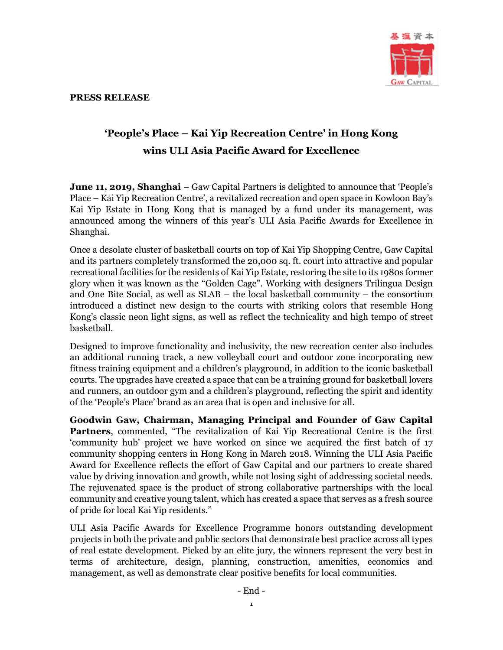

## **PRESS RELEASE**

## **'People's Place – Kai Yip Recreation Centre' in Hong Kong wins ULI Asia Pacific Award for Excellence**

**June 11, 2019, Shanghai** – Gaw Capital Partners is delighted to announce that 'People's Place – Kai Yip Recreation Centre', a revitalized recreation and open space in Kowloon Bay's Kai Yip Estate in Hong Kong that is managed by a fund under its management, was announced among the winners of this year's ULI Asia Pacific Awards for Excellence in Shanghai.

Once a desolate cluster of basketball courts on top of Kai Yip Shopping Centre, Gaw Capital and its partners completely transformed the 20,000 sq. ft. court into attractive and popular recreational facilities for the residents of Kai Yip Estate, restoring the site to its 1980s former glory when it was known as the "Golden Cage". Working with designers Trilingua Design and One Bite Social, as well as SLAB – the local basketball community – the consortium introduced a distinct new design to the courts with striking colors that resemble Hong Kong's classic neon light signs, as well as reflect the technicality and high tempo of street basketball.

Designed to improve functionality and inclusivity, the new recreation center also includes an additional running track, a new volleyball court and outdoor zone incorporating new fitness training equipment and a children's playground, in addition to the iconic basketball courts. The upgrades have created a space that can be a training ground for basketball lovers and runners, an outdoor gym and a children's playground, reflecting the spirit and identity of the 'People's Place' brand as an area that is open and inclusive for all.

**Goodwin Gaw, Chairman, Managing Principal and Founder of Gaw Capital Partners**, commented, "The revitalization of Kai Yip Recreational Centre is the first 'community hub' project we have worked on since we acquired the first batch of 17 community shopping centers in Hong Kong in March 2018. Winning the ULI Asia Pacific Award for Excellence reflects the effort of Gaw Capital and our partners to create shared value by driving innovation and growth, while not losing sight of addressing societal needs. The rejuvenated space is the product of strong collaborative partnerships with the local community and creative young talent, which has created a space that serves as a fresh source of pride for local Kai Yip residents."

ULI Asia Pacific Awards for Excellence Programme honors outstanding development projects in both the private and public sectors that demonstrate best practice across all types of real estate development. Picked by an elite jury, the winners represent the very best in terms of architecture, design, planning, construction, amenities, economics and management, as well as demonstrate clear positive benefits for local communities.